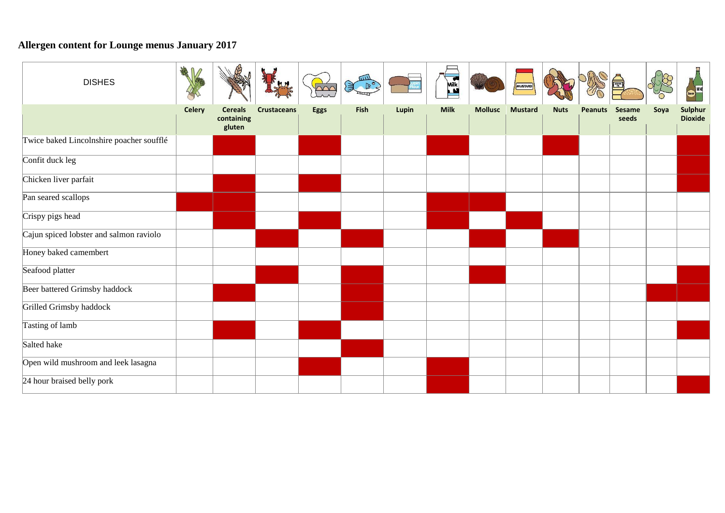## **Allergen content for Lounge menus January 2017**

| <b>DISHES</b>                            |               |                                        |                    |      | mц   |       | Mik         |                | MUSTARD        |             |                |                        |      | Beer WNE                  |
|------------------------------------------|---------------|----------------------------------------|--------------------|------|------|-------|-------------|----------------|----------------|-------------|----------------|------------------------|------|---------------------------|
|                                          | <b>Celery</b> | <b>Cereals</b><br>containing<br>gluten | <b>Crustaceans</b> | Eggs | Fish | Lupin | <b>Milk</b> | <b>Mollusc</b> | <b>Mustard</b> | <b>Nuts</b> | <b>Peanuts</b> | <b>Sesame</b><br>seeds | Soya | Sulphur<br><b>Dioxide</b> |
| Twice baked Lincolnshire poacher soufflé |               |                                        |                    |      |      |       |             |                |                |             |                |                        |      |                           |
| Confit duck leg                          |               |                                        |                    |      |      |       |             |                |                |             |                |                        |      |                           |
| Chicken liver parfait                    |               |                                        |                    |      |      |       |             |                |                |             |                |                        |      |                           |
| Pan seared scallops                      |               |                                        |                    |      |      |       |             |                |                |             |                |                        |      |                           |
| Crispy pigs head                         |               |                                        |                    |      |      |       |             |                |                |             |                |                        |      |                           |
| Cajun spiced lobster and salmon raviolo  |               |                                        |                    |      |      |       |             |                |                |             |                |                        |      |                           |
| Honey baked camembert                    |               |                                        |                    |      |      |       |             |                |                |             |                |                        |      |                           |
| Seafood platter                          |               |                                        |                    |      |      |       |             |                |                |             |                |                        |      |                           |
| Beer battered Grimsby haddock            |               |                                        |                    |      |      |       |             |                |                |             |                |                        |      |                           |
| Grilled Grimsby haddock                  |               |                                        |                    |      |      |       |             |                |                |             |                |                        |      |                           |
| Tasting of lamb                          |               |                                        |                    |      |      |       |             |                |                |             |                |                        |      |                           |
| Salted hake                              |               |                                        |                    |      |      |       |             |                |                |             |                |                        |      |                           |
| Open wild mushroom and leek lasagna      |               |                                        |                    |      |      |       |             |                |                |             |                |                        |      |                           |
| 24 hour braised belly pork               |               |                                        |                    |      |      |       |             |                |                |             |                |                        |      |                           |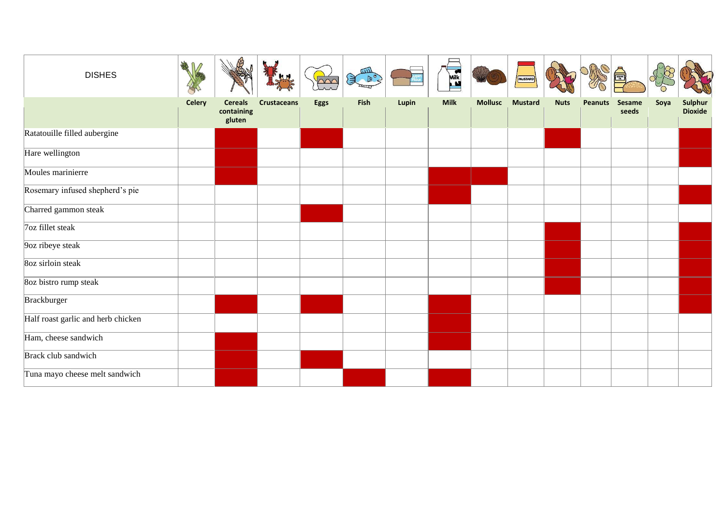| <b>DISHES</b>                      | 帶             |                                        |                    | $\overline{\text{pos}}$ | шIJ<br>$\left( \frac{1}{2} \right)$ | Flour | Mik         |                | MUSTARD        |             |                |                 |      |                           |
|------------------------------------|---------------|----------------------------------------|--------------------|-------------------------|-------------------------------------|-------|-------------|----------------|----------------|-------------|----------------|-----------------|------|---------------------------|
|                                    | <b>Celery</b> | <b>Cereals</b><br>containing<br>gluten | <b>Crustaceans</b> | Eggs                    | Fish                                | Lupin | <b>Milk</b> | <b>Mollusc</b> | <b>Mustard</b> | <b>Nuts</b> | <b>Peanuts</b> | Sesame<br>seeds | Soya | Sulphur<br><b>Dioxide</b> |
| Ratatouille filled aubergine       |               |                                        |                    |                         |                                     |       |             |                |                |             |                |                 |      |                           |
| Hare wellington                    |               |                                        |                    |                         |                                     |       |             |                |                |             |                |                 |      |                           |
| Moules marinierre                  |               |                                        |                    |                         |                                     |       |             |                |                |             |                |                 |      |                           |
| Rosemary infused shepherd's pie    |               |                                        |                    |                         |                                     |       |             |                |                |             |                |                 |      |                           |
| Charred gammon steak               |               |                                        |                    |                         |                                     |       |             |                |                |             |                |                 |      |                           |
| 7oz fillet steak                   |               |                                        |                    |                         |                                     |       |             |                |                |             |                |                 |      |                           |
| 9oz ribeye steak                   |               |                                        |                    |                         |                                     |       |             |                |                |             |                |                 |      |                           |
| 8oz sirloin steak                  |               |                                        |                    |                         |                                     |       |             |                |                |             |                |                 |      |                           |
| 8oz bistro rump steak              |               |                                        |                    |                         |                                     |       |             |                |                |             |                |                 |      |                           |
| Brackburger                        |               |                                        |                    |                         |                                     |       |             |                |                |             |                |                 |      |                           |
| Half roast garlic and herb chicken |               |                                        |                    |                         |                                     |       |             |                |                |             |                |                 |      |                           |
| Ham, cheese sandwich               |               |                                        |                    |                         |                                     |       |             |                |                |             |                |                 |      |                           |
| Brack club sandwich                |               |                                        |                    |                         |                                     |       |             |                |                |             |                |                 |      |                           |
| Tuna mayo cheese melt sandwich     |               |                                        |                    |                         |                                     |       |             |                |                |             |                |                 |      |                           |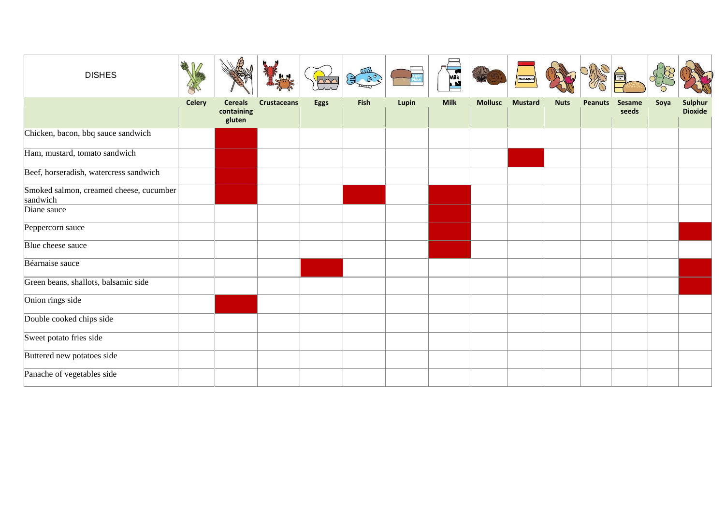| <b>DISHES</b>                                       |        |                                        |                    | $\overline{\triangle\triangle\triangle}$ |      |       | Mik         |                | MUSTARD        |             |                |                        |      |                           |
|-----------------------------------------------------|--------|----------------------------------------|--------------------|------------------------------------------|------|-------|-------------|----------------|----------------|-------------|----------------|------------------------|------|---------------------------|
|                                                     | Celery | <b>Cereals</b><br>containing<br>gluten | <b>Crustaceans</b> | <b>Eggs</b>                              | Fish | Lupin | <b>Milk</b> | <b>Mollusc</b> | <b>Mustard</b> | <b>Nuts</b> | <b>Peanuts</b> | <b>Sesame</b><br>seeds | Soya | Sulphur<br><b>Dioxide</b> |
| Chicken, bacon, bbq sauce sandwich                  |        |                                        |                    |                                          |      |       |             |                |                |             |                |                        |      |                           |
| Ham, mustard, tomato sandwich                       |        |                                        |                    |                                          |      |       |             |                |                |             |                |                        |      |                           |
| Beef, horseradish, watercress sandwich              |        |                                        |                    |                                          |      |       |             |                |                |             |                |                        |      |                           |
| Smoked salmon, creamed cheese, cucumber<br>sandwich |        |                                        |                    |                                          |      |       |             |                |                |             |                |                        |      |                           |
| Diane sauce                                         |        |                                        |                    |                                          |      |       |             |                |                |             |                |                        |      |                           |
| Peppercorn sauce                                    |        |                                        |                    |                                          |      |       |             |                |                |             |                |                        |      |                           |
| Blue cheese sauce                                   |        |                                        |                    |                                          |      |       |             |                |                |             |                |                        |      |                           |
| Béarnaise sauce                                     |        |                                        |                    |                                          |      |       |             |                |                |             |                |                        |      |                           |
| Green beans, shallots, balsamic side                |        |                                        |                    |                                          |      |       |             |                |                |             |                |                        |      |                           |
| Onion rings side                                    |        |                                        |                    |                                          |      |       |             |                |                |             |                |                        |      |                           |
| Double cooked chips side                            |        |                                        |                    |                                          |      |       |             |                |                |             |                |                        |      |                           |
| Sweet potato fries side                             |        |                                        |                    |                                          |      |       |             |                |                |             |                |                        |      |                           |
| Buttered new potatoes side                          |        |                                        |                    |                                          |      |       |             |                |                |             |                |                        |      |                           |
| Panache of vegetables side                          |        |                                        |                    |                                          |      |       |             |                |                |             |                |                        |      |                           |